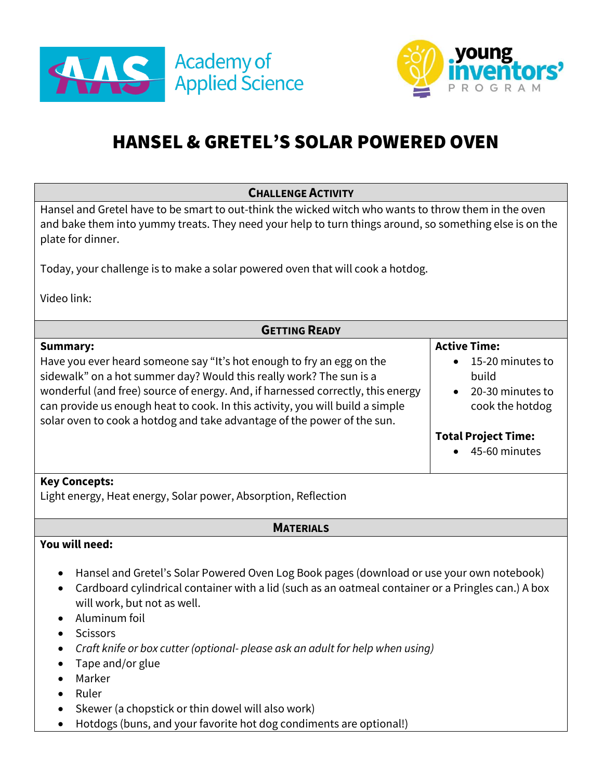



# HANSEL & GRETEL'S SOLAR POWERED OVEN

| <b>CHALLENGE ACTIVITY</b>                                                                                                                                                                                                                                                                                                                                                                                                              |                                                                                                                                        |
|----------------------------------------------------------------------------------------------------------------------------------------------------------------------------------------------------------------------------------------------------------------------------------------------------------------------------------------------------------------------------------------------------------------------------------------|----------------------------------------------------------------------------------------------------------------------------------------|
| Hansel and Gretel have to be smart to out-think the wicked witch who wants to throw them in the oven<br>and bake them into yummy treats. They need your help to turn things around, so something else is on the<br>plate for dinner.<br>Today, your challenge is to make a solar powered oven that will cook a hotdog.                                                                                                                 |                                                                                                                                        |
| Video link:                                                                                                                                                                                                                                                                                                                                                                                                                            |                                                                                                                                        |
| <b>GETTING READY</b>                                                                                                                                                                                                                                                                                                                                                                                                                   |                                                                                                                                        |
| <b>Summary:</b><br>Have you ever heard someone say "It's hot enough to fry an egg on the<br>sidewalk" on a hot summer day? Would this really work? The sun is a<br>wonderful (and free) source of energy. And, if harnessed correctly, this energy<br>can provide us enough heat to cook. In this activity, you will build a simple<br>solar oven to cook a hotdog and take advantage of the power of the sun.<br><b>Key Concepts:</b> | <b>Active Time:</b><br>15-20 minutes to<br>build<br>20-30 minutes to<br>cook the hotdog<br><b>Total Project Time:</b><br>45-60 minutes |
| Light energy, Heat energy, Solar power, Absorption, Reflection                                                                                                                                                                                                                                                                                                                                                                         |                                                                                                                                        |
| <b>MATERIALS</b>                                                                                                                                                                                                                                                                                                                                                                                                                       |                                                                                                                                        |
| You will need:<br>Hansel and Gretel's Solar Powered Oven Log Book pages (download or use your own notebook)                                                                                                                                                                                                                                                                                                                            |                                                                                                                                        |
| Cardboard cylindrical container with a lid (such as an oatmeal container or a Pringles can.) A box<br>will work, but not as well.<br>Aluminum foil                                                                                                                                                                                                                                                                                     |                                                                                                                                        |
| <b>Scissors</b><br>Craft knife or box cutter (optional-please ask an adult for help when using)<br>$T$ ano and lorguluo                                                                                                                                                                                                                                                                                                                |                                                                                                                                        |

- Tape and/or glue • Marker
- Ruler
- Skewer (a chopstick or thin dowel will also work)
- Hotdogs (buns, and your favorite hot dog condiments are optional!)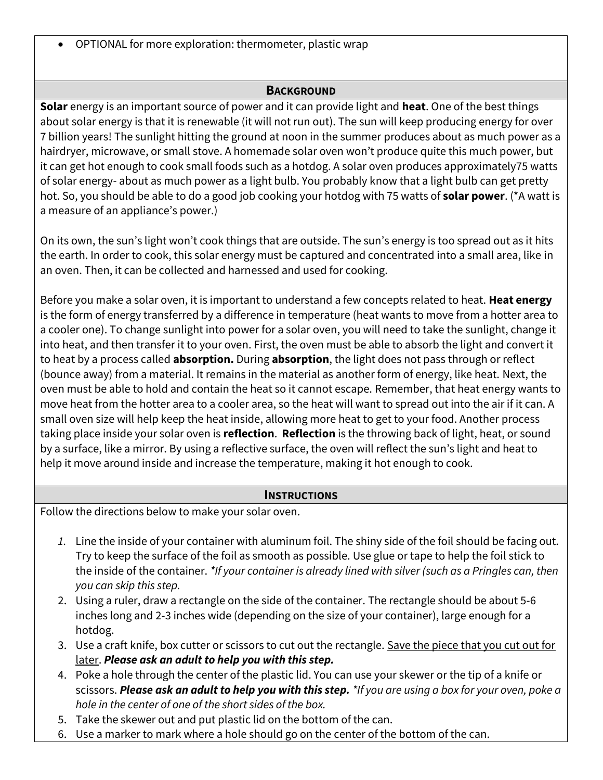• OPTIONAL for more exploration: thermometer, plastic wrap

### **BACKGROUND**

**Solar** energy is an important source of power and it can provide light and **heat**. One of the best things about solar energy is that it is renewable (it will not run out). The sun will keep producing energy for over 7 billion years! The sunlight hitting the ground at noon in the summer produces about as much power as a hairdryer, microwave, or small stove. A homemade solar oven won't produce quite this much power, but it can get hot enough to cook small foods such as a hotdog. A solar oven produces approximately75 watts of solar energy- about as much power as a light bulb. You probably know that a light bulb can get pretty hot. So, you should be able to do a good job cooking your hotdog with 75 watts of **solar power**. (\*A watt is a measure of an appliance's power.)

On its own, the sun's light won't cook things that are outside. The sun's energy is too spread out as it hits the earth. In order to cook, this solar energy must be captured and concentrated into a small area, like in an oven. Then, it can be collected and harnessed and used for cooking.

Before you make a solar oven, it is important to understand a few concepts related to heat. **Heat energy**  is the form of energy transferred by a difference in temperature (heat wants to move from a hotter area to a cooler one). To change sunlight into power for a solar oven, you will need to take the sunlight, change it into heat, and then transfer it to your oven. First, the oven must be able to absorb the light and convert it to heat by a process called **absorption.** During **absorption**, the light does not pass through or reflect (bounce away) from a material. It remains in the material as another form of energy, like heat. Next, the oven must be able to hold and contain the heat so it cannot escape. Remember, that heat energy wants to move heat from the hotter area to a cooler area, so the heat will want to spread out into the air if it can. A small oven size will help keep the heat inside, allowing more heat to get to your food. Another process taking place inside your solar oven is **reflection**. **Reflection** is the throwing back of light, heat, or sound by a surface, like a mirror. By using a reflective surface, the oven will reflect the sun's light and heat to help it move around inside and increase the temperature, making it hot enough to cook.

#### **INSTRUCTIONS**

Follow the directions below to make your solar oven.

- *1.* Line the inside of your container with aluminum foil. The shiny side of the foil should be facing out. Try to keep the surface of the foil as smooth as possible. Use glue or tape to help the foil stick to the inside of the container. *\*If your container is already lined with silver (such as a Pringles can, then you can skip this step.*
- 2. Using a ruler, draw a rectangle on the side of the container. The rectangle should be about 5-6 inches long and 2-3 inches wide (depending on the size of your container), large enough for a hotdog.
- 3. Use a craft knife, box cutter or scissors to cut out the rectangle. Save the piece that you cut out for later. *Please ask an adult to help you with this step.*
- 4. Poke a hole through the center of the plastic lid. You can use your skewer or the tip of a knife or scissors. *Please ask an adult to help you with this step. \*If you are using a box for your oven, poke a hole in the center of one of the short sides of the box.*
- 5. Take the skewer out and put plastic lid on the bottom of the can.
- 6. Use a marker to mark where a hole should go on the center of the bottom of the can.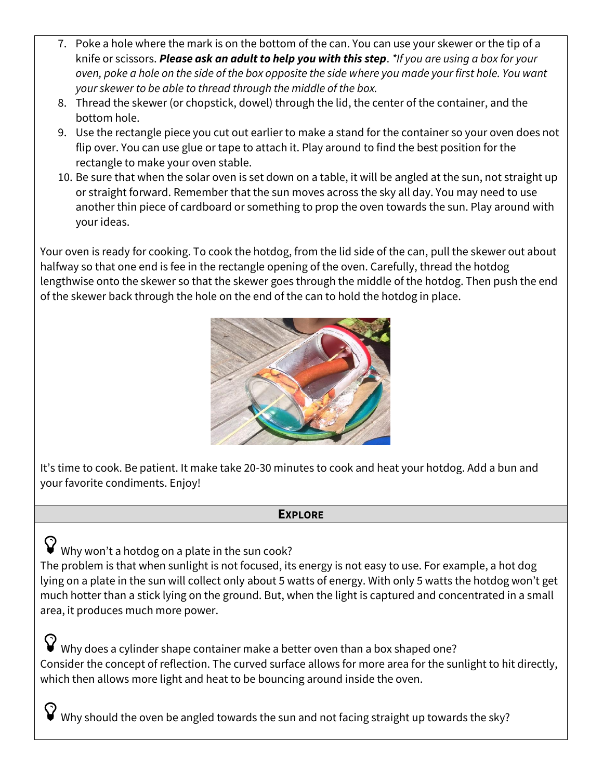- 7. Poke a hole where the mark is on the bottom of the can. You can use your skewer or the tip of a knife or scissors. *Please ask an adult to help you with this step*. *\*If you are using a box for your oven, poke a hole on the side of the box opposite the side where you made your first hole. You want your skewer to be able to thread through the middle of the box.*
- 8. Thread the skewer (or chopstick, dowel) through the lid, the center of the container, and the bottom hole.
- 9. Use the rectangle piece you cut out earlier to make a stand for the container so your oven does not flip over. You can use glue or tape to attach it. Play around to find the best position for the rectangle to make your oven stable.
- 10. Be sure that when the solar oven is set down on a table, it will be angled at the sun, not straight up or straight forward. Remember that the sun moves across the sky all day. You may need to use another thin piece of cardboard or something to prop the oven towards the sun. Play around with your ideas.

Your oven is ready for cooking. To cook the hotdog, from the lid side of the can, pull the skewer out about halfway so that one end is fee in the rectangle opening of the oven. Carefully, thread the hotdog lengthwise onto the skewer so that the skewer goes through the middle of the hotdog. Then push the end of the skewer back through the hole on the end of the can to hold the hotdog in place.



It's time to cook. Be patient. It make take 20-30 minutes to cook and heat your hotdog. Add a bun and your favorite condiments. Enjoy!

## **EXPLORE**

 $\mathbf \nabla$  why won't a hotdog on a plate in the sun cook? The problem is that when sunlight is not focused, its energy is not easy to use. For example, a hot dog lying on a plate in the sun will collect only about 5 watts of energy. With only 5 watts the hotdog won't get much hotter than a stick lying on the ground. But, when the light is captured and concentrated in a small area, it produces much more power.

 $\blacktriangledown$  Why does a cylinder shape container make a better oven than a box shaped one? Consider the concept of reflection. The curved surface allows for more area for the sunlight to hit directly, which then allows more light and heat to be bouncing around inside the oven.

 $\hat{\mathbf{y}}$  Why should the oven be angled towards the sun and not facing straight up towards the sky?